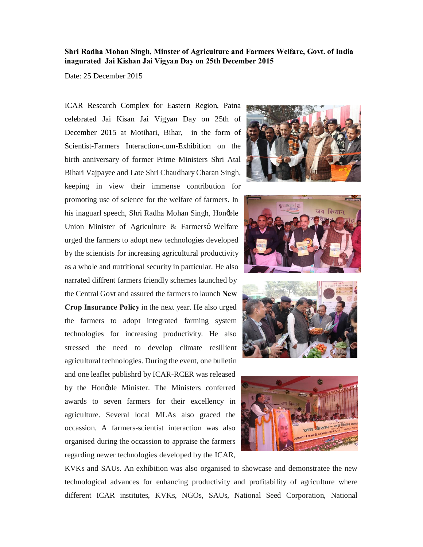## **Shri Radha Mohan Singh, Minster of Agriculture and Farmers Welfare, Govt. of India inagurated Jai Kishan Jai Vigyan Day on 25th December 2015**

Date: 25 December 2015

ICAR Research Complex for Eastern Region, Patna celebrated Jai Kisan Jai Vigyan Day on 25th of December 2015 at Motihari, Bihar, in the form of Scientist-Farmers Interaction-cum-Exhibition on the birth anniversary of former Prime Ministers Shri Atal Bihari Vajpayee and Late Shri Chaudhary Charan Singh, keeping in view their immense contribution for promoting use of science for the welfare of farmers. In his inaguarl speech, Shri Radha Mohan Singh, Honøble Union Minister of Agriculture  $\&$  Farmersø Welfare urged the farmers to adopt new technologies developed by the scientists for increasing agricultural productivity as a whole and nutritional security in particular. He also narrated diffrent farmers friendly schemes launched by the Central Govt and assured the farmers to launch **New Crop Insurance Policy** in the next year. He also urged the farmers to adopt integrated farming system technologies for increasing productivity. He also stressed the need to develop climate resillient agricultural technologies. During the event, one bulletin and one leaflet publishrd by ICAR-RCER was released by the Hongble Minister. The Ministers conferred awards to seven farmers for their excellency in agriculture. Several local MLAs also graced the occassion. A farmers-scientist interaction was also organised during the occassion to appraise the farmers regarding newer technologies developed by the ICAR,









KVKs and SAUs. An exhibition was also organised to showcase and demonstratee the new technological advances for enhancing productivity and profitability of agriculture where different ICAR institutes, KVKs, NGOs, SAUs, National Seed Corporation, National